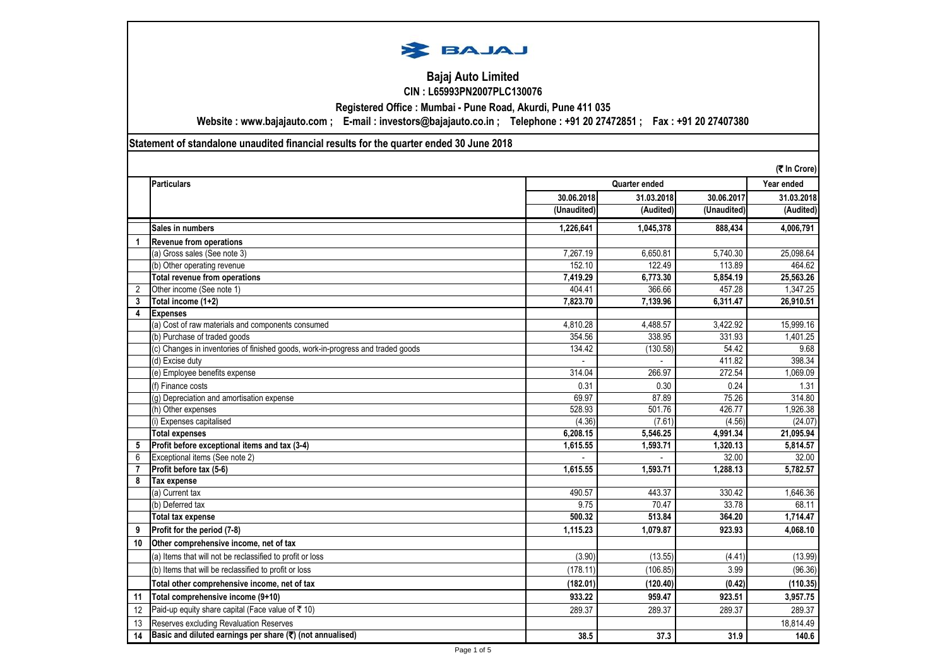

## **Bajaj Auto Limited CIN : L65993PN2007PLC130076**

**Registered Office : Mumbai - Pune Road, Akurdi, Pune 411 035**

**Website : www.bajajauto.com ; E-mail : investors@bajajauto.co.in ; Telephone : +91 20 27472851 ; Fax : +91 20 27407380**

**Statement of standalone unaudited financial results for the quarter ended 30 June 2018**

|                | (そ In Crore)                                                                    |             |               |             |            |
|----------------|---------------------------------------------------------------------------------|-------------|---------------|-------------|------------|
|                | <b>Particulars</b>                                                              |             | Quarter ended |             |            |
|                |                                                                                 | 30.06.2018  | 31.03.2018    | 30.06.2017  | 31.03.2018 |
|                |                                                                                 | (Unaudited) | (Audited)     | (Unaudited) | (Audited)  |
|                | Sales in numbers                                                                | 1.226.641   | 1.045.378     | 888.434     | 4,006,791  |
|                | <b>Revenue from operations</b>                                                  |             |               |             |            |
|                | (a) Gross sales (See note 3)                                                    | 7.267.19    | 6.650.81      | 5.740.30    | 25,098.64  |
|                | (b) Other operating revenue                                                     | 152.10      | 122.49        | 113.89      | 464.62     |
|                | Total revenue from operations                                                   | 7,419.29    | 6,773.30      | 5,854.19    | 25,563.26  |
| $\overline{2}$ | Other income (See note 1)                                                       | 404.41      | 366.66        | 457.28      | 1,347.25   |
| 3              | Total income (1+2)                                                              | 7,823.70    | 7,139.96      | 6,311.47    | 26,910.51  |
| 4              | <b>Expenses</b>                                                                 |             |               |             |            |
|                | (a) Cost of raw materials and components consumed                               | 4,810.28    | 4.488.57      | 3,422.92    | 15,999.16  |
|                | (b) Purchase of traded goods                                                    | 354.56      | 338.95        | 331.93      | 1,401.25   |
|                | (c) Changes in inventories of finished goods, work-in-progress and traded goods | 134.42      | (130.58)      | 54.42       | 9.68       |
|                | (d) Excise duty                                                                 |             |               | 411.82      | 398.34     |
|                | (e) Employee benefits expense                                                   | 314.04      | 266.97        | 272.54      | 1,069.09   |
|                | (f) Finance costs                                                               | 0.31        | 0.30          | 0.24        | 1.31       |
|                | (g) Depreciation and amortisation expense                                       | 69.97       | 87.89         | 75.26       | 314.80     |
|                | (h) Other expenses                                                              | 528.93      | 501.76        | 426.77      | 1,926.38   |
|                | (i) Expenses capitalised                                                        | (4.36)      | (7.61)        | (4.56)      | (24.07)    |
|                | <b>Total expenses</b>                                                           | 6,208.15    | 5,546.25      | 4,991.34    | 21,095.94  |
| 5              | Profit before exceptional items and tax (3-4)                                   | 1,615.55    | 1,593.71      | 1,320.13    | 5,814.57   |
| 6              | Exceptional items (See note 2)                                                  |             |               | 32.00       | 32.00      |
| $\overline{7}$ | Profit before tax (5-6)                                                         | 1.615.55    | 1.593.71      | 1.288.13    | 5,782.57   |
| 8              | Tax expense                                                                     |             |               |             |            |
|                | (a) Current tax                                                                 | 490.57      | 443.37        | 330.42      | 1,646.36   |
|                | (b) Deferred tax                                                                | 9.75        | 70.47         | 33.78       | 68.11      |
|                | <b>Total tax expense</b>                                                        | 500.32      | 513.84        | 364.20      | 1,714.47   |
| 9              | Profit for the period (7-8)                                                     | 1.115.23    | 1.079.87      | 923.93      | 4.068.10   |
| 10             | Other comprehensive income, net of tax                                          |             |               |             |            |
|                | (a) Items that will not be reclassified to profit or loss                       | (3.90)      | (13.55)       | (4.41)      | (13.99)    |
|                | (b) Items that will be reclassified to profit or loss                           | (178.11)    | (106.85)      | 3.99        | (96.36)    |
|                | Total other comprehensive income, net of tax                                    | (182.01)    | (120.40)      | (0.42)      | (110.35)   |
| 11             | Total comprehensive income (9+10)                                               | 933.22      | 959.47        | 923.51      | 3,957.75   |
| 12             | Paid-up equity share capital (Face value of ₹ 10)                               | 289.37      | 289.37        | 289.37      | 289.37     |
| 13             | Reserves excluding Revaluation Reserves                                         |             |               |             | 18,814.49  |
| 14             | Basic and diluted earnings per share (₹) (not annualised)                       | 38.5        | 37.3          | 31.9        | 140.6      |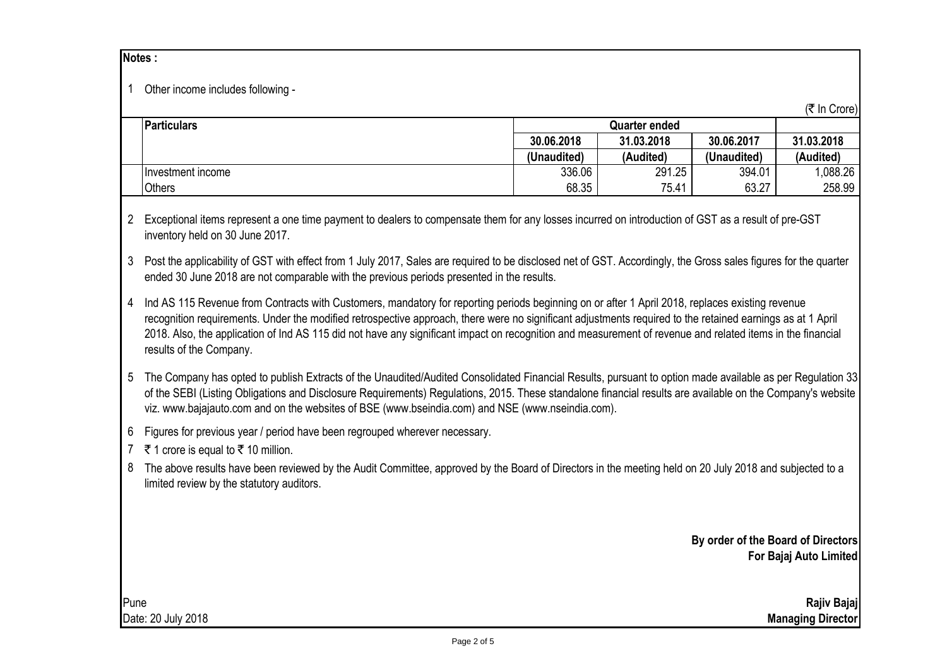|                                                                                                                                                                                                          | 1 Other income includes following -                                                                                                                                                                                                                                                                                                                                                                                                                                                                    |                      |                          |                                    | (₹ In Crore)           |  |
|----------------------------------------------------------------------------------------------------------------------------------------------------------------------------------------------------------|--------------------------------------------------------------------------------------------------------------------------------------------------------------------------------------------------------------------------------------------------------------------------------------------------------------------------------------------------------------------------------------------------------------------------------------------------------------------------------------------------------|----------------------|--------------------------|------------------------------------|------------------------|--|
|                                                                                                                                                                                                          | <b>Particulars</b>                                                                                                                                                                                                                                                                                                                                                                                                                                                                                     | <b>Quarter ended</b> |                          |                                    |                        |  |
|                                                                                                                                                                                                          |                                                                                                                                                                                                                                                                                                                                                                                                                                                                                                        | 30.06.2018           | 31.03.2018               | 30.06.2017                         | 31.03.2018             |  |
|                                                                                                                                                                                                          |                                                                                                                                                                                                                                                                                                                                                                                                                                                                                                        | (Unaudited)          | (Audited)                | (Unaudited)                        | (Audited)              |  |
|                                                                                                                                                                                                          | Investment income                                                                                                                                                                                                                                                                                                                                                                                                                                                                                      | 336.06               | 291.25                   | 394.01                             | 1,088.26               |  |
|                                                                                                                                                                                                          | Others                                                                                                                                                                                                                                                                                                                                                                                                                                                                                                 | 68.35                | 75.41                    | 63.27                              | 258.99                 |  |
| 3                                                                                                                                                                                                        | 2 Exceptional items represent a one time payment to dealers to compensate them for any losses incurred on introduction of GST as a result of pre-GST<br>inventory held on 30 June 2017.<br>Post the applicability of GST with effect from 1 July 2017, Sales are required to be disclosed net of GST. Accordingly, the Gross sales figures for the quarter<br>ended 30 June 2018 are not comparable with the previous periods presented in the results.                                                |                      |                          |                                    |                        |  |
| 4                                                                                                                                                                                                        | Ind AS 115 Revenue from Contracts with Customers, mandatory for reporting periods beginning on or after 1 April 2018, replaces existing revenue<br>recognition requirements. Under the modified retrospective approach, there were no significant adjustments required to the retained earnings as at 1 April<br>2018. Also, the application of Ind AS 115 did not have any significant impact on recognition and measurement of revenue and related items in the financial<br>results of the Company. |                      |                          |                                    |                        |  |
| 5                                                                                                                                                                                                        | The Company has opted to publish Extracts of the Unaudited/Audited Consolidated Financial Results, pursuant to option made available as per Regulation 33<br>of the SEBI (Listing Obligations and Disclosure Requirements) Regulations, 2015. These standalone financial results are available on the Company's website<br>viz. www.bajajauto.com and on the websites of BSE (www.bseindia.com) and NSE (www.nseindia.com).                                                                            |                      |                          |                                    |                        |  |
| 6<br>$7^{\circ}$                                                                                                                                                                                         | Figures for previous year / period have been regrouped wherever necessary.<br>₹ 1 crore is equal to ₹ 10 million.                                                                                                                                                                                                                                                                                                                                                                                      |                      |                          |                                    |                        |  |
| The above results have been reviewed by the Audit Committee, approved by the Board of Directors in the meeting held on 20 July 2018 and subjected to a<br>8<br>limited review by the statutory auditors. |                                                                                                                                                                                                                                                                                                                                                                                                                                                                                                        |                      |                          |                                    |                        |  |
|                                                                                                                                                                                                          |                                                                                                                                                                                                                                                                                                                                                                                                                                                                                                        |                      |                          | By order of the Board of Directors | For Bajaj Auto Limited |  |
| Pune                                                                                                                                                                                                     |                                                                                                                                                                                                                                                                                                                                                                                                                                                                                                        |                      |                          |                                    | Rajiv Bajaj            |  |
| Date: 20 July 2018                                                                                                                                                                                       |                                                                                                                                                                                                                                                                                                                                                                                                                                                                                                        |                      | <b>Managing Director</b> |                                    |                        |  |

**Notes :**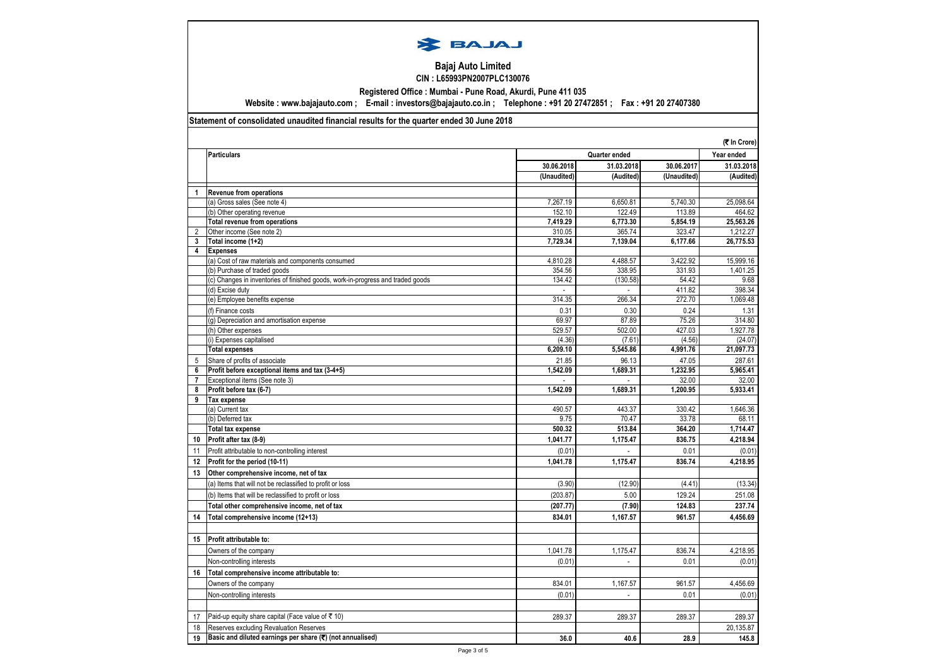

## **Bajaj Auto Limited CIN : L65993PN2007PLC130076**

**Registered Office : Mumbai - Pune Road, Akurdi, Pune 411 035**

**Website : www.bajajauto.com ; E-mail : investors@bajajauto.co.in ; Telephone : +91 20 27472851 ; Fax : +91 20 27407380**

## **Statement of consolidated unaudited financial results for the quarter ended 30 June 2018**

|                         |                                                                                 |             |               |             | (₹ In Crore) |
|-------------------------|---------------------------------------------------------------------------------|-------------|---------------|-------------|--------------|
|                         | <b>Particulars</b>                                                              |             | Quarter ended |             |              |
|                         |                                                                                 | 30.06.2018  | 31.03.2018    | 30.06.2017  | 31.03.2018   |
|                         |                                                                                 | (Unaudited) | (Audited)     | (Unaudited) | (Audited)    |
| $\mathbf{1}$            | <b>Revenue from operations</b>                                                  |             |               |             |              |
|                         | (a) Gross sales (See note 4)                                                    | 7,267.19    | 6.650.81      | 5,740.30    | 25,098.64    |
|                         | (b) Other operating revenue                                                     | 152.10      | 122.49        | 113.89      | 464.62       |
|                         | <b>Total revenue from operations</b>                                            | 7,419.29    | 6,773.30      | 5,854.19    | 25,563.26    |
| $\overline{2}$          | Other income (See note 2)                                                       | 310.05      | 365.74        | 323.47      | 1,212.27     |
| 3                       | Total income (1+2)                                                              | 7,729.34    | 7,139.04      | 6,177.66    | 26,775.53    |
| $\overline{\mathbf{4}}$ | <b>Expenses</b>                                                                 |             |               |             |              |
|                         | (a) Cost of raw materials and components consumed                               | 4.810.28    | 4.488.57      | 3.422.92    | 15.999.16    |
|                         | (b) Purchase of traded goods                                                    | 354.56      | 338.95        | 331.93      | 1,401.25     |
|                         | (c) Changes in inventories of finished goods, work-in-progress and traded goods | 134.42      | (130.58)      | 54.42       | 9.68         |
|                         | (d) Excise duty                                                                 |             |               | 411.82      | 398.34       |
|                         | (e) Employee benefits expense                                                   | 314.35      | 266.34        | 272.70      | 1,069.48     |
|                         | (f) Finance costs                                                               | 0.31        | 0.30          | 0.24        | 1.31         |
|                         | (g) Depreciation and amortisation expense                                       | 69.97       | 87.89         | 75.26       | 314.80       |
|                         | (h) Other expenses                                                              | 529.57      | 502.00        | 427.03      | 1,927.78     |
|                         | (i) Expenses capitalised                                                        | (4.36)      | (7.61)        | (4.56)      | (24.07)      |
|                         | <b>Total expenses</b>                                                           | 6,209.10    | 5,545.86      | 4,991.76    | 21,097.73    |
| 5                       | Share of profits of associate                                                   | 21.85       | 96.13         | 47.05       | 287.61       |
| 6                       | Profit before exceptional items and tax (3-4+5)                                 | 1,542.09    | 1,689.31      | 1,232.95    | 5,965.41     |
| $\overline{7}$          | Exceptional items (See note 3)                                                  |             |               | 32.00       | 32.00        |
| 8                       | Profit before tax (6-7)                                                         | 1,542.09    | 1,689.31      | 1,200.95    | 5,933.41     |
| 9                       | <b>Tax expense</b>                                                              |             |               |             |              |
|                         | (a) Current tax                                                                 | 490.57      | 443.37        | 330.42      | 1,646.36     |
|                         | (b) Deferred tax                                                                | 9.75        | 70.47         | 33.78       | 68.11        |
|                         | <b>Total tax expense</b>                                                        | 500.32      | 513.84        | 364.20      | 1,714.47     |
| 10                      | Profit after tax (8-9)                                                          | 1,041.77    | 1,175.47      | 836.75      | 4,218.94     |
| 11                      | Profit attributable to non-controlling interest                                 | (0.01)      | $\mathcal{L}$ | 0.01        | (0.01)       |
| 12                      | Profit for the period (10-11)                                                   | 1,041.78    | 1,175.47      | 836.74      | 4,218.95     |
| 13                      | Other comprehensive income, net of tax                                          |             |               |             |              |
|                         | (a) Items that will not be reclassified to profit or loss                       | (3.90)      | (12.90)       | (4.41)      | (13.34)      |
|                         | (b) Items that will be reclassified to profit or loss                           | (203.87)    | 5.00          | 129.24      | 251.08       |
|                         | Total other comprehensive income, net of tax                                    | (207.77)    | (7.90)        | 124.83      | 237.74       |
| 14                      | Total comprehensive income (12+13)                                              | 834.01      | 1,167.57      | 961.57      | 4,456.69     |
|                         |                                                                                 |             |               |             |              |
| 15                      | Profit attributable to:                                                         |             |               |             |              |
|                         |                                                                                 |             |               | 836.74      | 4,218.95     |
|                         | Owners of the company                                                           | 1,041.78    | 1,175.47      |             |              |
|                         | Non-controlling interests                                                       | (0.01)      |               | 0.01        | (0.01)       |
| 16                      | Total comprehensive income attributable to:                                     |             |               |             |              |
|                         | Owners of the company                                                           | 834.01      | 1,167.57      | 961.57      | 4,456.69     |
|                         | Non-controlling interests                                                       | (0.01)      |               | 0.01        | (0.01)       |
|                         |                                                                                 |             |               |             |              |
| 17                      | Paid-up equity share capital (Face value of ₹ 10)                               | 289.37      | 289.37        | 289.37      | 289.37       |
| 18                      | Reserves excluding Revaluation Reserves                                         |             |               |             | 20,135.87    |
| 19                      | Basic and diluted earnings per share (₹) (not annualised)                       | 36.0        | 40.6          | 28.9        | 145.8        |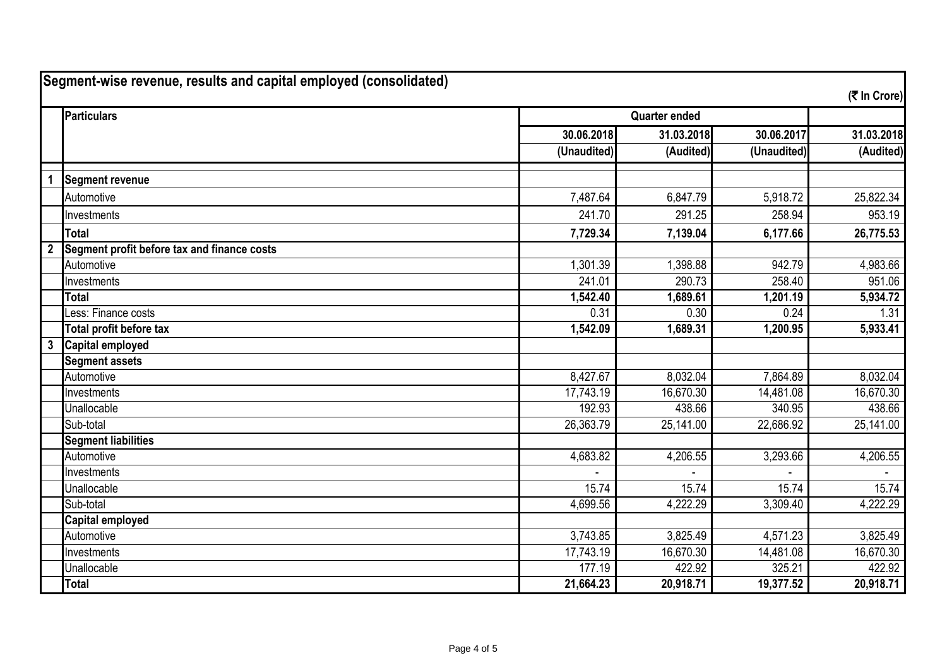| Segment-wise revenue, results and capital employed (consolidated)<br>(そ In Crore) |                                             |             |                      |             |                     |
|-----------------------------------------------------------------------------------|---------------------------------------------|-------------|----------------------|-------------|---------------------|
|                                                                                   | Particulars                                 |             | <b>Quarter ended</b> |             |                     |
|                                                                                   |                                             | 30.06.2018  | 31.03.2018           | 30.06.2017  | 31.03.2018          |
|                                                                                   |                                             | (Unaudited) | (Audited)            | (Unaudited) | (Audited)           |
| 1                                                                                 | <b>Segment revenue</b>                      |             |                      |             |                     |
|                                                                                   | Automotive                                  | 7,487.64    | 6,847.79             | 5,918.72    | 25,822.34           |
|                                                                                   | Investments                                 | 241.70      | 291.25               | 258.94      | 953.19              |
|                                                                                   | <b>Total</b>                                | 7,729.34    | 7,139.04             | 6,177.66    | 26,775.53           |
| $\overline{2}$                                                                    | Segment profit before tax and finance costs |             |                      |             |                     |
|                                                                                   | Automotive                                  | 1,301.39    | 1,398.88             | 942.79      | 4,983.66            |
|                                                                                   | Investments                                 | 241.01      | 290.73               | 258.40      | $\overline{951.06}$ |
|                                                                                   | <b>Total</b>                                | 1,542.40    | 1,689.61             | 1,201.19    | 5,934.72            |
|                                                                                   | Less: Finance costs                         | 0.31        | 0.30                 | 0.24        | 1.31                |
|                                                                                   | Total profit before tax                     | 1,542.09    | 1,689.31             | 1,200.95    | 5,933.41            |
| $\mathbf{3}$                                                                      | <b>Capital employed</b>                     |             |                      |             |                     |
|                                                                                   | <b>Segment assets</b>                       |             |                      |             |                     |
|                                                                                   | Automotive                                  | 8,427.67    | 8,032.04             | 7,864.89    | 8,032.04            |
|                                                                                   | Investments                                 | 17,743.19   | 16,670.30            | 14,481.08   | 16,670.30           |
|                                                                                   | Unallocable                                 | 192.93      | 438.66               | 340.95      | 438.66              |
|                                                                                   | Sub-total                                   | 26,363.79   | 25,141.00            | 22,686.92   | 25,141.00           |
|                                                                                   | <b>Segment liabilities</b>                  |             |                      |             |                     |
|                                                                                   | Automotive                                  | 4,683.82    | 4,206.55             | 3,293.66    | 4,206.55            |
|                                                                                   | Investments                                 |             |                      |             |                     |
|                                                                                   | Unallocable                                 | 15.74       | 15.74                | 15.74       | 15.74               |
|                                                                                   | Sub-total                                   | 4,699.56    | 4,222.29             | 3,309.40    | 4,222.29            |
|                                                                                   | <b>Capital employed</b>                     |             |                      |             |                     |
|                                                                                   | Automotive                                  | 3,743.85    | 3,825.49             | 4,571.23    | 3,825.49            |
|                                                                                   | Investments                                 | 17,743.19   | 16,670.30            | 14,481.08   | 16,670.30           |
|                                                                                   | Unallocable                                 | 177.19      | 422.92               | 325.21      | 422.92              |
|                                                                                   | <b>Total</b>                                | 21,664.23   | 20,918.71            | 19,377.52   | 20,918.71           |